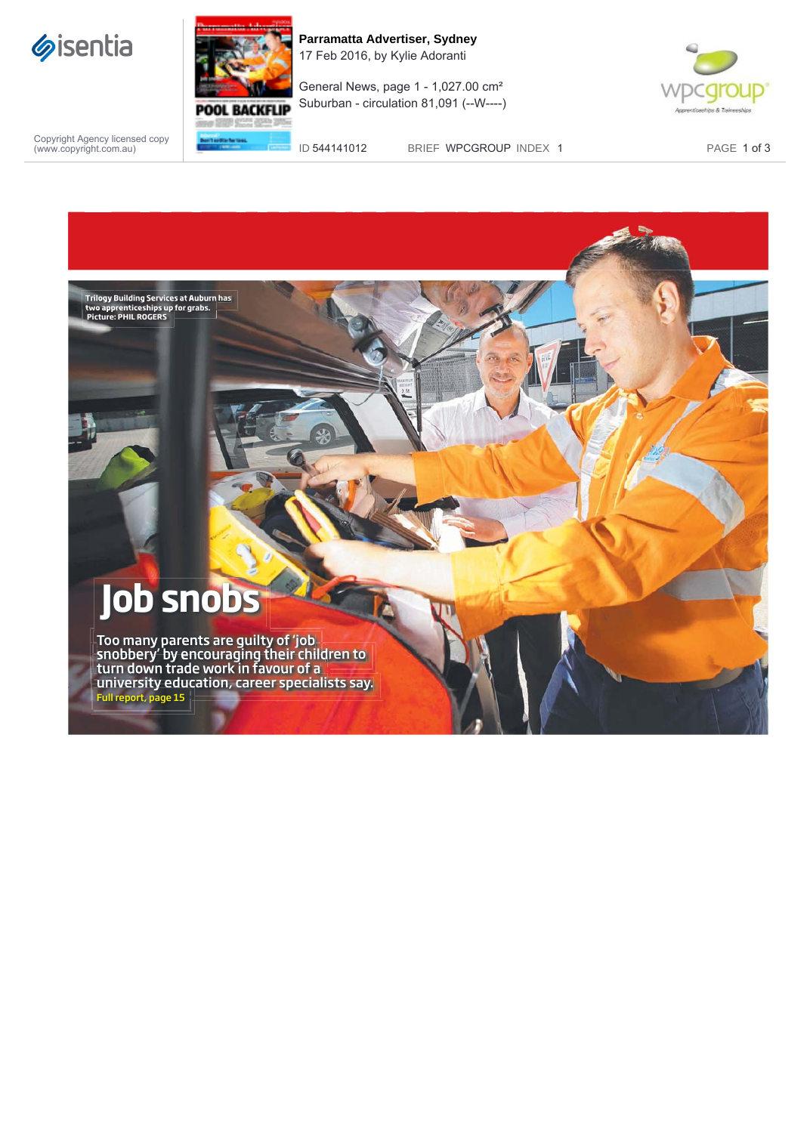



**Parramatta Advertiser, Sydney** 17 Feb 2016, by Kylie Adoranti

General News, page 1 - 1,027.00 cm² Suburban - circulation 81,091 (--W----)



Copyright Agency licensed copy (www.copyright.com.au)

ID 544141012 BRIEF WPCGROUP INDEX 1 PAGE 1 of 3

## **Job snobs**

**Trilogy Building Services at Auburn has two apprenticeships up for grabs. Picture: PHIL ROGERS**

Too many parents are guilty of 'job snobbery' by encouraging their children to turn down trade work in favour of a university education, career specialists say. Full report, page 15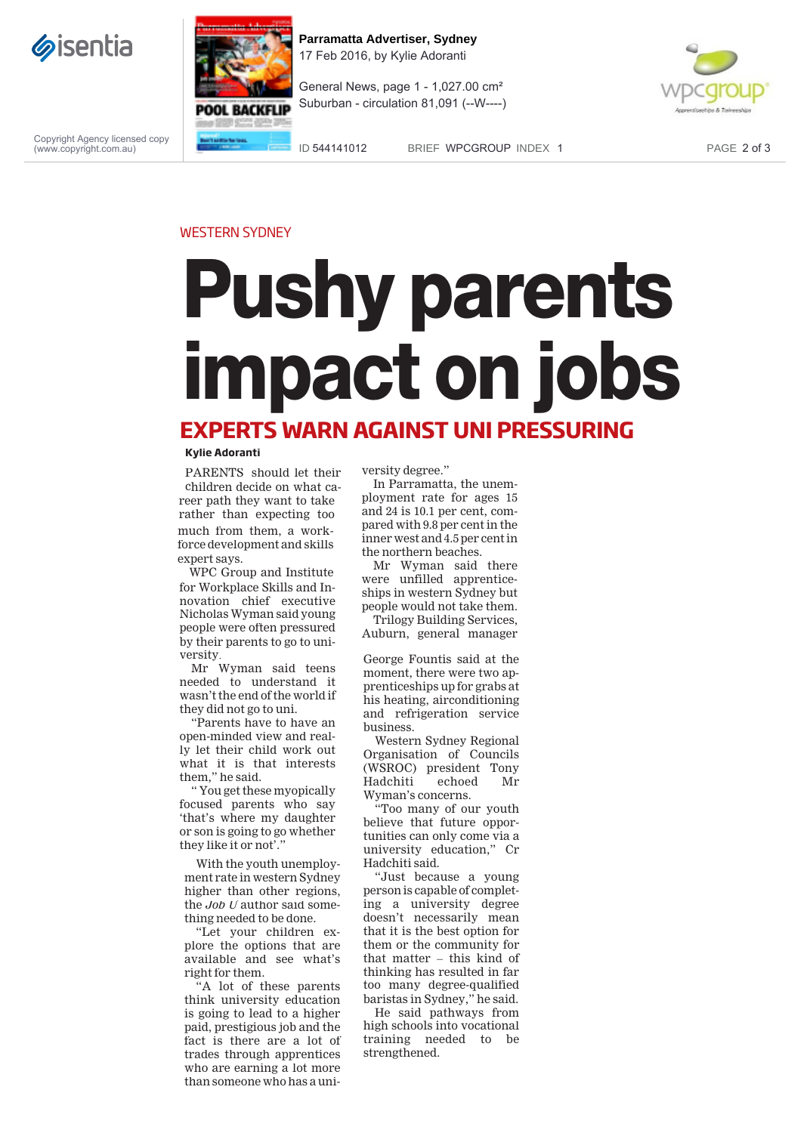



**Parramatta Advertiser, Sydney** 17 Feb 2016, by Kylie Adoranti

General News, page 1 - 1,027.00 cm² Suburban - circulation 81,091 (--W----)



Copyright Agency licensed copy (www.copyright.com.au)

ID 544141012 BRIEF WPCGROUP INDEX 1 PAGE 2 of 3

## WESTERN SYDNEY

## **Pushy parents impact on jobs EXPERTS WARN AGAINST UNI PRESSURING**

## **Kylie Adoranti**

PARENTS should let their children decide on what career path they want to take rather than expecting too much from them, a workforce development and skills expert says.

for Workplace Skills and Innovation chief executive Nicholas Wyman said young people were often pressured by their parents to go to university. WPC Group and Institute

Mr Wyman said teens needed to understand it wasn'tthe end of the world if they did not go to uni.

"Parents have to have an open-minded view and really let their child work out what it is that interests them," he said.

" You get these myopically focused parents who say 'that's where my daughter or son is going to go whether they like it or not'.

With the youth unemployment rate in western Sydney higher than other regions, the *Job U* author said something needed to be done.

"Let your children explore the options that are available and see what's right for them.

"A lot of these parents think university education is going to lead to a higher paid, prestigious job and the fact is there are a lot of trades through apprentices who are earning a lot more than someone who has a university degree."

In Parramatta, the unemployment rate for ages 15 and 24 is 10.1 per cent, compared with 9.8 per cent in the inner west and 4.5 per cent in the northern beaches.

Mr Wyman said there were unfilled apprenticeships in western Sydney but people would not take them.

Trilogy Building Services, Auburn, general manager

George Fountis said at the moment, there were two apprenticeships up for grabs at his heating, airconditioning and refrigeration service business.

Western Sydney Regional Organisation of Councils (WSROC) president Tony Hadchiti echoed Mr Wyman's concerns.

"Too many of our youth believe that future opportunities can only come via a university education," Cr Hadchiti said.

"Just because a young person is capable of completing a university degree doesn't necessarily mean that it is the best option for them or the community for that matter – this kind of thinking has resulted in far too many degree-qualified baristas in Sydney," he said.

He said pathways from high schools into vocational training needed to be strengthened.